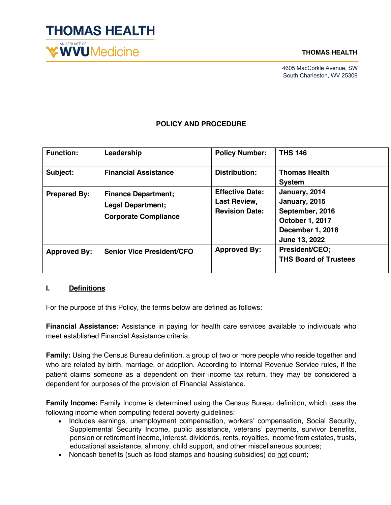

#### **THOMAS HEALTH**

4605 MacCorkle Avenue, SW South Charleston, WV 25309

## **POLICY AND PROCEDURE**

| <b>Function:</b>    | Leadership                                                                            | <b>Policy Number:</b>                                                  | <b>THS 146</b>                                                                                            |
|---------------------|---------------------------------------------------------------------------------------|------------------------------------------------------------------------|-----------------------------------------------------------------------------------------------------------|
| Subject:            | <b>Financial Assistance</b>                                                           | <b>Distribution:</b>                                                   | <b>Thomas Health</b><br><b>System</b>                                                                     |
| <b>Prepared By:</b> | <b>Finance Department;</b><br><b>Legal Department;</b><br><b>Corporate Compliance</b> | <b>Effective Date:</b><br><b>Last Review,</b><br><b>Revision Date:</b> | January, 2014<br>January, 2015<br>September, 2016<br>October 1, 2017<br>December 1, 2018<br>June 13, 2022 |
| <b>Approved By:</b> | <b>Senior Vice President/CFO</b>                                                      | <b>Approved By:</b>                                                    | President/CEO;<br><b>THS Board of Trustees</b>                                                            |

### **I. Definitions**

For the purpose of this Policy, the terms below are defined as follows:

**Financial Assistance:** Assistance in paying for health care services available to individuals who meet established Financial Assistance criteria.

**Family:** Using the Census Bureau definition, a group of two or more people who reside together and who are related by birth, marriage, or adoption. According to Internal Revenue Service rules, if the patient claims someone as a dependent on their income tax return, they may be considered a dependent for purposes of the provision of Financial Assistance.

**Family Income:** Family Income is determined using the Census Bureau definition, which uses the following income when computing federal poverty guidelines:

- Includes earnings, unemployment compensation, workers' compensation, Social Security, Supplemental Security Income, public assistance, veterans' payments, survivor benefits, pension or retirement income, interest, dividends, rents, royalties, income from estates, trusts, educational assistance, alimony, child support, and other miscellaneous sources;
- Noncash benefits (such as food stamps and housing subsidies) do not count;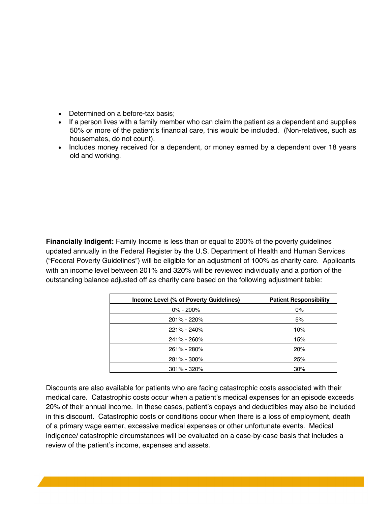- Determined on a before-tax basis;
- If a person lives with a family member who can claim the patient as a dependent and supplies 50% or more of the patient's financial care, this would be included. (Non-relatives, such as housemates, do not count).
- Includes money received for a dependent, or money earned by a dependent over 18 years old and working.

**Financially Indigent:** Family Income is less than or equal to 200% of the poverty guidelines updated annually in the Federal Register by the U.S. Department of Health and Human Services ("Federal Poverty Guidelines") will be eligible for an adjustment of 100% as charity care. Applicants with an income level between 201% and 320% will be reviewed individually and a portion of the outstanding balance adjusted off as charity care based on the following adjustment table:

| Income Level (% of Poverty Guidelines) | <b>Patient Responsibility</b> |
|----------------------------------------|-------------------------------|
| $0\% - 200\%$                          | $0\%$                         |
| 201% - 220%                            | 5%                            |
| 221% - 240%                            | 10%                           |
| 241% - 260%                            | 15%                           |
| 261% - 280%                            | 20%                           |
| 281% - 300%                            | 25%                           |
| $301\% - 320\%$                        | 30%                           |

Discounts are also available for patients who are facing catastrophic costs associated with their medical care. Catastrophic costs occur when a patient's medical expenses for an episode exceeds 20% of their annual income. In these cases, patient's copays and deductibles may also be included in this discount. Catastrophic costs or conditions occur when there is a loss of employment, death of a primary wage earner, excessive medical expenses or other unfortunate events. Medical indigence/ catastrophic circumstances will be evaluated on a case-by-case basis that includes a review of the patient's income, expenses and assets.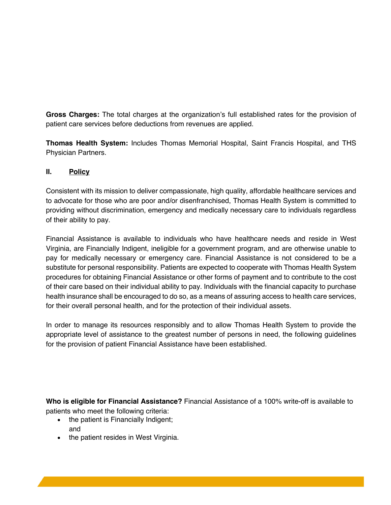**Gross Charges:** The total charges at the organization's full established rates for the provision of patient care services before deductions from revenues are applied.

**Thomas Health System:** Includes Thomas Memorial Hospital, Saint Francis Hospital, and THS Physician Partners.

## **II. Policy**

Consistent with its mission to deliver compassionate, high quality, affordable healthcare services and to advocate for those who are poor and/or disenfranchised, Thomas Health System is committed to providing without discrimination, emergency and medically necessary care to individuals regardless of their ability to pay.

Financial Assistance is available to individuals who have healthcare needs and reside in West Virginia, are Financially Indigent, ineligible for a government program, and are otherwise unable to pay for medically necessary or emergency care. Financial Assistance is not considered to be a substitute for personal responsibility. Patients are expected to cooperate with Thomas Health System procedures for obtaining Financial Assistance or other forms of payment and to contribute to the cost of their care based on their individual ability to pay. Individuals with the financial capacity to purchase health insurance shall be encouraged to do so, as a means of assuring access to health care services, for their overall personal health, and for the protection of their individual assets.

In order to manage its resources responsibly and to allow Thomas Health System to provide the appropriate level of assistance to the greatest number of persons in need, the following guidelines for the provision of patient Financial Assistance have been established.

**Who is eligible for Financial Assistance?** Financial Assistance of a 100% write-off is available to patients who meet the following criteria:

- the patient is Financially Indigent; and
- the patient resides in West Virginia.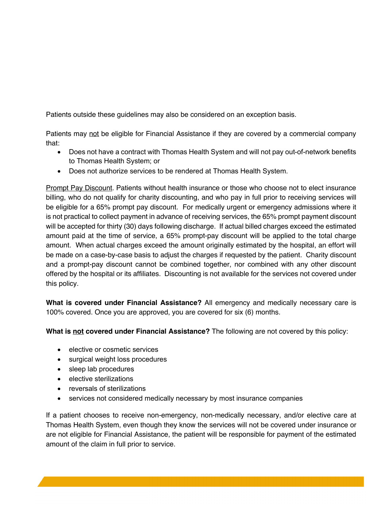Patients outside these guidelines may also be considered on an exception basis.

Patients may not be eligible for Financial Assistance if they are covered by a commercial company that:

- Does not have a contract with Thomas Health System and will not pay out-of-network benefits to Thomas Health System; or
- Does not authorize services to be rendered at Thomas Health System.

Prompt Pay Discount. Patients without health insurance or those who choose not to elect insurance billing, who do not qualify for charity discounting, and who pay in full prior to receiving services will be eligible for a 65% prompt pay discount. For medically urgent or emergency admissions where it is not practical to collect payment in advance of receiving services, the 65% prompt payment discount will be accepted for thirty (30) days following discharge. If actual billed charges exceed the estimated amount paid at the time of service, a 65% prompt-pay discount will be applied to the total charge amount. When actual charges exceed the amount originally estimated by the hospital, an effort will be made on a case-by-case basis to adjust the charges if requested by the patient. Charity discount and a prompt-pay discount cannot be combined together, nor combined with any other discount offered by the hospital or its affiliates. Discounting is not available for the services not covered under this policy.

**What is covered under Financial Assistance?** All emergency and medically necessary care is 100% covered. Once you are approved, you are covered for six (6) months.

**What is not covered under Financial Assistance?** The following are not covered by this policy:

- elective or cosmetic services
- surgical weight loss procedures
- sleep lab procedures
- elective sterilizations
- reversals of sterilizations
- services not considered medically necessary by most insurance companies

If a patient chooses to receive non-emergency, non-medically necessary, and/or elective care at Thomas Health System, even though they know the services will not be covered under insurance or are not eligible for Financial Assistance, the patient will be responsible for payment of the estimated amount of the claim in full prior to service.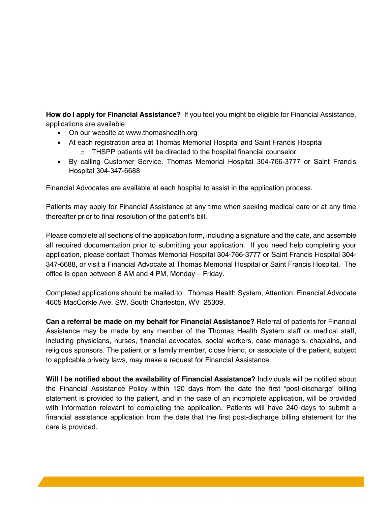**How do I apply for Financial Assistance?** If you feel you might be eligible for Financial Assistance, applications are available:

- On our website at www.thomashealth.org
- At each registration area at Thomas Memorial Hospital and Saint Francis Hospital
	- o THSPP patients will be directed to the hospital financial counselor
- By calling Customer Service. Thomas Memorial Hospital 304-766-3777 or Saint Francis Hospital 304-347-6688

Financial Advocates are available at each hospital to assist in the application process.

Patients may apply for Financial Assistance at any time when seeking medical care or at any time thereafter prior to final resolution of the patient's bill.

Please complete all sections of the application form, including a signature and the date, and assemble all required documentation prior to submitting your application. If you need help completing your application, please contact Thomas Memorial Hospital 304-766-3777 or Saint Francis Hospital 304- 347-6688, or visit a Financial Advocate at Thomas Memorial Hospital or Saint Francis Hospital. The office is open between 8 AM and 4 PM, Monday – Friday.

Completed applications should be mailed to Thomas Health System, Attention: Financial Advocate 4605 MacCorkle Ave. SW, South Charleston, WV 25309.

**Can a referral be made on my behalf for Financial Assistance?** Referral of patients for Financial Assistance may be made by any member of the Thomas Health System staff or medical staff, including physicians, nurses, financial advocates, social workers, case managers, chaplains, and religious sponsors. The patient or a family member, close friend, or associate of the patient, subject to applicable privacy laws, may make a request for Financial Assistance.

**Will I be notified about the availability of Financial Assistance?** Individuals will be notified about the Financial Assistance Policy within 120 days from the date the first "post-discharge" billing statement is provided to the patient, and in the case of an incomplete application, will be provided with information relevant to completing the application. Patients will have 240 days to submit a financial assistance application from the date that the first post-discharge billing statement for the care is provided.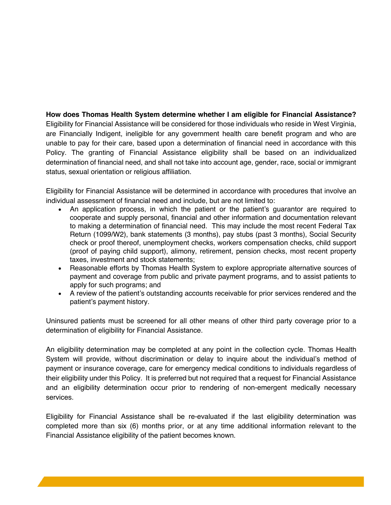**How does Thomas Health System determine whether I am eligible for Financial Assistance?** Eligibility for Financial Assistance will be considered for those individuals who reside in West Virginia, are Financially Indigent, ineligible for any government health care benefit program and who are unable to pay for their care, based upon a determination of financial need in accordance with this Policy. The granting of Financial Assistance eligibility shall be based on an individualized determination of financial need, and shall not take into account age, gender, race, social or immigrant status, sexual orientation or religious affiliation.

Eligibility for Financial Assistance will be determined in accordance with procedures that involve an individual assessment of financial need and include, but are not limited to:

- An application process, in which the patient or the patient's guarantor are required to cooperate and supply personal, financial and other information and documentation relevant to making a determination of financial need. This may include the most recent Federal Tax Return (1099/W2), bank statements (3 months), pay stubs (past 3 months), Social Security check or proof thereof, unemployment checks, workers compensation checks, child support (proof of paying child support), alimony, retirement, pension checks, most recent property taxes, investment and stock statements;
- Reasonable efforts by Thomas Health System to explore appropriate alternative sources of payment and coverage from public and private payment programs, and to assist patients to apply for such programs; and
- A review of the patient's outstanding accounts receivable for prior services rendered and the patient's payment history.

Uninsured patients must be screened for all other means of other third party coverage prior to a determination of eligibility for Financial Assistance.

An eligibility determination may be completed at any point in the collection cycle. Thomas Health System will provide, without discrimination or delay to inquire about the individual's method of payment or insurance coverage, care for emergency medical conditions to individuals regardless of their eligibility under this Policy. It is preferred but not required that a request for Financial Assistance and an eligibility determination occur prior to rendering of non-emergent medically necessary services.

Eligibility for Financial Assistance shall be re-evaluated if the last eligibility determination was completed more than six (6) months prior, or at any time additional information relevant to the Financial Assistance eligibility of the patient becomes known.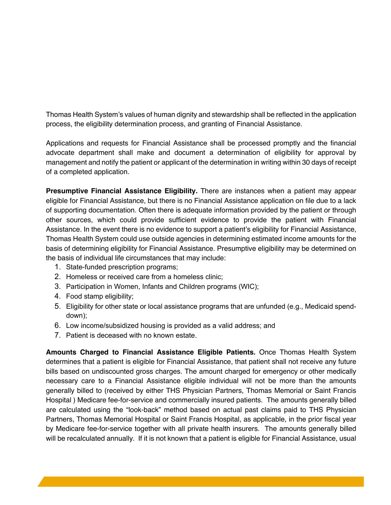Thomas Health System's values of human dignity and stewardship shall be reflected in the application process, the eligibility determination process, and granting of Financial Assistance.

Applications and requests for Financial Assistance shall be processed promptly and the financial advocate department shall make and document a determination of eligibility for approval by management and notify the patient or applicant of the determination in writing within 30 days of receipt of a completed application.

**Presumptive Financial Assistance Eligibility.** There are instances when a patient may appear eligible for Financial Assistance, but there is no Financial Assistance application on file due to a lack of supporting documentation. Often there is adequate information provided by the patient or through other sources, which could provide sufficient evidence to provide the patient with Financial Assistance. In the event there is no evidence to support a patient's eligibility for Financial Assistance, Thomas Health System could use outside agencies in determining estimated income amounts for the basis of determining eligibility for Financial Assistance. Presumptive eligibility may be determined on the basis of individual life circumstances that may include:

- 1. State-funded prescription programs;
- 2. Homeless or received care from a homeless clinic;
- 3. Participation in Women, Infants and Children programs (WIC);
- 4. Food stamp eligibility;
- 5. Eligibility for other state or local assistance programs that are unfunded (e.g., Medicaid spenddown);
- 6. Low income/subsidized housing is provided as a valid address; and
- 7. Patient is deceased with no known estate.

**Amounts Charged to Financial Assistance Eligible Patients.** Once Thomas Health System determines that a patient is eligible for Financial Assistance, that patient shall not receive any future bills based on undiscounted gross charges. The amount charged for emergency or other medically necessary care to a Financial Assistance eligible individual will not be more than the amounts generally billed to (received by either THS Physician Partners, Thomas Memorial or Saint Francis Hospital ) Medicare fee-for-service and commercially insured patients. The amounts generally billed are calculated using the "look-back" method based on actual past claims paid to THS Physician Partners, Thomas Memorial Hospital or Saint Francis Hospital, as applicable, in the prior fiscal year by Medicare fee-for-service together with all private health insurers. The amounts generally billed will be recalculated annually. If it is not known that a patient is eligible for Financial Assistance, usual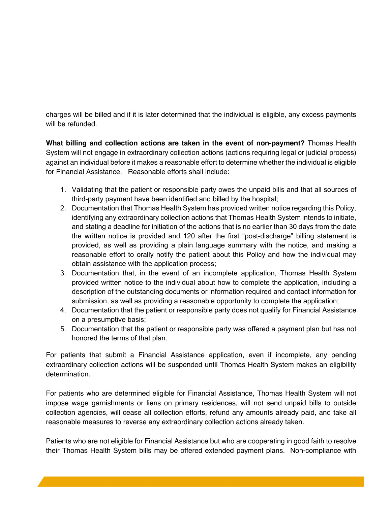charges will be billed and if it is later determined that the individual is eligible, any excess payments will be refunded.

**What billing and collection actions are taken in the event of non-payment?** Thomas Health System will not engage in extraordinary collection actions (actions requiring legal or judicial process) against an individual before it makes a reasonable effort to determine whether the individual is eligible for Financial Assistance. Reasonable efforts shall include:

- 1. Validating that the patient or responsible party owes the unpaid bills and that all sources of third-party payment have been identified and billed by the hospital;
- 2. Documentation that Thomas Health System has provided written notice regarding this Policy, identifying any extraordinary collection actions that Thomas Health System intends to initiate, and stating a deadline for initiation of the actions that is no earlier than 30 days from the date the written notice is provided and 120 after the first "post-discharge" billing statement is provided, as well as providing a plain language summary with the notice, and making a reasonable effort to orally notify the patient about this Policy and how the individual may obtain assistance with the application process;
- 3. Documentation that, in the event of an incomplete application, Thomas Health System provided written notice to the individual about how to complete the application, including a description of the outstanding documents or information required and contact information for submission, as well as providing a reasonable opportunity to complete the application;
- 4. Documentation that the patient or responsible party does not qualify for Financial Assistance on a presumptive basis;
- 5. Documentation that the patient or responsible party was offered a payment plan but has not honored the terms of that plan.

For patients that submit a Financial Assistance application, even if incomplete, any pending extraordinary collection actions will be suspended until Thomas Health System makes an eligibility determination.

For patients who are determined eligible for Financial Assistance, Thomas Health System will not impose wage garnishments or liens on primary residences, will not send unpaid bills to outside collection agencies, will cease all collection efforts, refund any amounts already paid, and take all reasonable measures to reverse any extraordinary collection actions already taken.

Patients who are not eligible for Financial Assistance but who are cooperating in good faith to resolve their Thomas Health System bills may be offered extended payment plans. Non-compliance with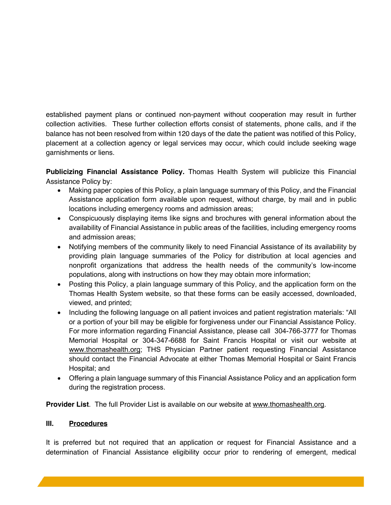established payment plans or continued non-payment without cooperation may result in further collection activities. These further collection efforts consist of statements, phone calls, and if the balance has not been resolved from within 120 days of the date the patient was notified of this Policy, placement at a collection agency or legal services may occur, which could include seeking wage garnishments or liens.

**Publicizing Financial Assistance Policy.** Thomas Health System will publicize this Financial Assistance Policy by:

- Making paper copies of this Policy, a plain language summary of this Policy, and the Financial Assistance application form available upon request, without charge, by mail and in public locations including emergency rooms and admission areas;
- Conspicuously displaying items like signs and brochures with general information about the availability of Financial Assistance in public areas of the facilities, including emergency rooms and admission areas;
- Notifying members of the community likely to need Financial Assistance of its availability by providing plain language summaries of the Policy for distribution at local agencies and nonprofit organizations that address the health needs of the community's low-income populations, along with instructions on how they may obtain more information;
- Posting this Policy, a plain language summary of this Policy, and the application form on the Thomas Health System website, so that these forms can be easily accessed, downloaded, viewed, and printed;
- Including the following language on all patient invoices and patient registration materials: "All or a portion of your bill may be eligible for forgiveness under our Financial Assistance Policy. For more information regarding Financial Assistance, please call 304-766-3777 for Thomas Memorial Hospital or 304-347-6688 for Saint Francis Hospital or visit our website at www.thomashealth.org; THS Physician Partner patient requesting Financial Assistance should contact the Financial Advocate at either Thomas Memorial Hospital or Saint Francis Hospital; and
- Offering a plain language summary of this Financial Assistance Policy and an application form during the registration process.

**Provider List**. The full Provider List is available on our website at www.thomashealth.org.

### **III. Procedures**

It is preferred but not required that an application or request for Financial Assistance and a determination of Financial Assistance eligibility occur prior to rendering of emergent, medical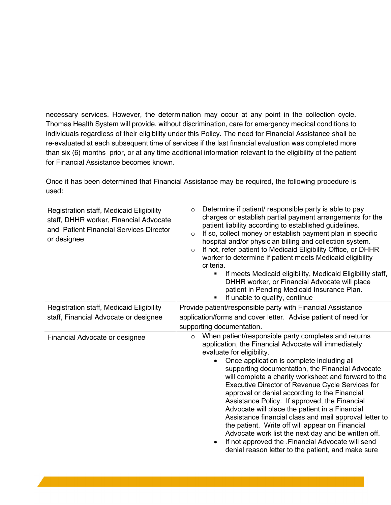necessary services. However, the determination may occur at any point in the collection cycle. Thomas Health System will provide, without discrimination, care for emergency medical conditions to individuals regardless of their eligibility under this Policy. The need for Financial Assistance shall be re-evaluated at each subsequent time of services if the last financial evaluation was completed more than six (6) months prior, or at any time additional information relevant to the eligibility of the patient for Financial Assistance becomes known.

Once it has been determined that Financial Assistance may be required, the following procedure is used:

| Registration staff, Medicaid Eligibility<br>staff, DHHR worker, Financial Advocate<br>and Patient Financial Services Director<br>or designee | Determine if patient/ responsible party is able to pay<br>$\circ$<br>charges or establish partial payment arrangements for the<br>patient liability according to established guidelines.<br>If so, collect money or establish payment plan in specific<br>$\circ$<br>hospital and/or physician billing and collection system.<br>If not, refer patient to Medicaid Eligibility Office, or DHHR<br>$\circ$<br>worker to determine if patient meets Medicaid eligibility<br>criteria.<br>If meets Medicaid eligibility, Medicaid Eligibility staff,<br>$\blacksquare$<br>DHHR worker, or Financial Advocate will place<br>patient in Pending Medicaid Insurance Plan.<br>If unable to qualify, continue<br>٠                                                                                            |
|----------------------------------------------------------------------------------------------------------------------------------------------|-------------------------------------------------------------------------------------------------------------------------------------------------------------------------------------------------------------------------------------------------------------------------------------------------------------------------------------------------------------------------------------------------------------------------------------------------------------------------------------------------------------------------------------------------------------------------------------------------------------------------------------------------------------------------------------------------------------------------------------------------------------------------------------------------------|
| <b>Registration staff, Medicaid Eligibility</b>                                                                                              | Provide patient/responsible party with Financial Assistance                                                                                                                                                                                                                                                                                                                                                                                                                                                                                                                                                                                                                                                                                                                                           |
| staff, Financial Advocate or designee                                                                                                        | application/forms and cover letter. Advise patient of need for                                                                                                                                                                                                                                                                                                                                                                                                                                                                                                                                                                                                                                                                                                                                        |
|                                                                                                                                              | supporting documentation.                                                                                                                                                                                                                                                                                                                                                                                                                                                                                                                                                                                                                                                                                                                                                                             |
| Financial Advocate or designee                                                                                                               | When patient/responsible party completes and returns<br>$\circ$<br>application, the Financial Advocate will immediately<br>evaluate for eligibility.<br>Once application is complete including all<br>supporting documentation, the Financial Advocate<br>will complete a charity worksheet and forward to the<br>Executive Director of Revenue Cycle Services for<br>approval or denial according to the Financial<br>Assistance Policy. If approved, the Financial<br>Advocate will place the patient in a Financial<br>Assistance financial class and mail approval letter to<br>the patient. Write off will appear on Financial<br>Advocate work list the next day and be written off.<br>If not approved the .Financial Advocate will send<br>denial reason letter to the patient, and make sure |